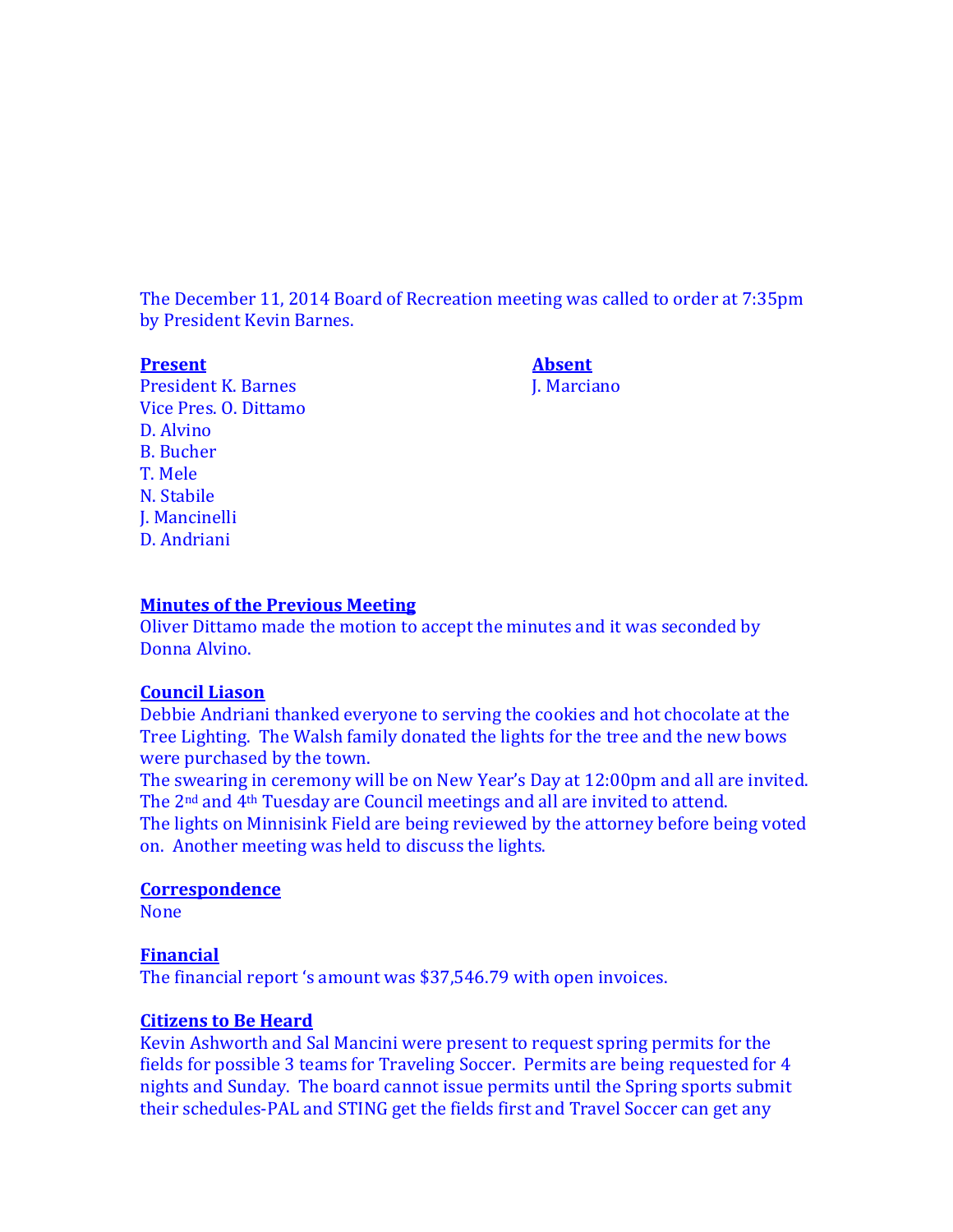The December 11, 2014 Board of Recreation meeting was called to order at 7:35pm by President Kevin Barnes.

**Present Absent**

President K. Barnes J. Marciano Vice Pres. O. Dittamo D. Alvino B. Bucher T. Mele N. Stabile J. Mancinelli D. Andriani

### **Minutes of the Previous Meeting**

Oliver Dittamo made the motion to accept the minutes and it was seconded by Donna Alvino.

# **Council Liason**

Debbie Andriani thanked everyone to serving the cookies and hot chocolate at the Tree Lighting. The Walsh family donated the lights for the tree and the new bows were purchased by the town.

The swearing in ceremony will be on New Year's Day at 12:00pm and all are invited. The 2<sup>nd</sup> and 4<sup>th</sup> Tuesday are Council meetings and all are invited to attend. The lights on Minnisink Field are being reviewed by the attorney before being voted on. Another meeting was held to discuss the lights.

### **Correspondence**

None

# **Financial**

The financial report 's amount was \$37,546.79 with open invoices.

# **Citizens to Be Heard**

Kevin Ashworth and Sal Mancini were present to request spring permits for the fields for possible 3 teams for Traveling Soccer. Permits are being requested for 4 nights and Sunday. The board cannot issue permits until the Spring sports submit their schedules-PAL and STING get the fields first and Travel Soccer can get any